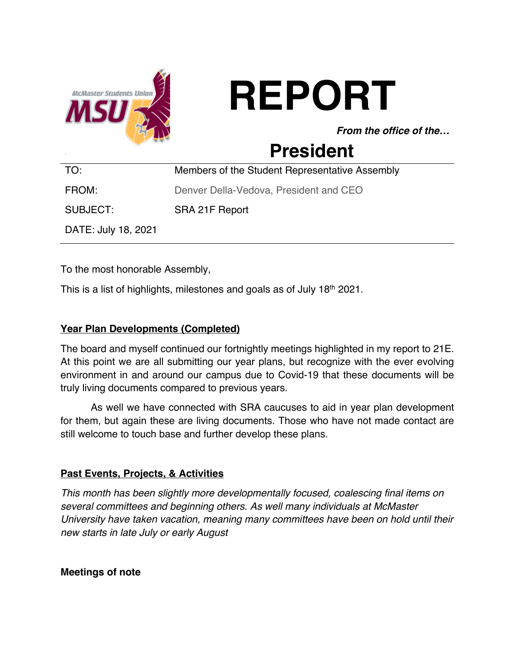

# **REPORT**

*From the office of the…*

# **President**

| TO:                 | Members of the Student Representative Assembly |
|---------------------|------------------------------------------------|
| FROM:               | Denver Della-Vedova, President and CEO         |
| SUBJECT:            | SRA 21F Report                                 |
| DATE: July 18, 2021 |                                                |

To the most honorable Assembly,

This is a list of highlights, milestones and goals as of July 18th 2021.

#### **Year Plan Developments (Completed)**

The board and myself continued our fortnightly meetings highlighted in my report to 21E. At this point we are all submitting our year plans, but recognize with the ever evolving environment in and around our campus due to Covid-19 that these documents will be truly living documents compared to previous years.

As well we have connected with SRA caucuses to aid in year plan development for them, but again these are living documents. Those who have not made contact are still welcome to touch base and further develop these plans.

#### **Past Events, Projects, & Activities**

*This month has been slightly more developmentally focused, coalescing final items on several committees and beginning others. As well many individuals at McMaster University have taken vacation, meaning many committees have been on hold until their new starts in late July or early August*

**Meetings of note**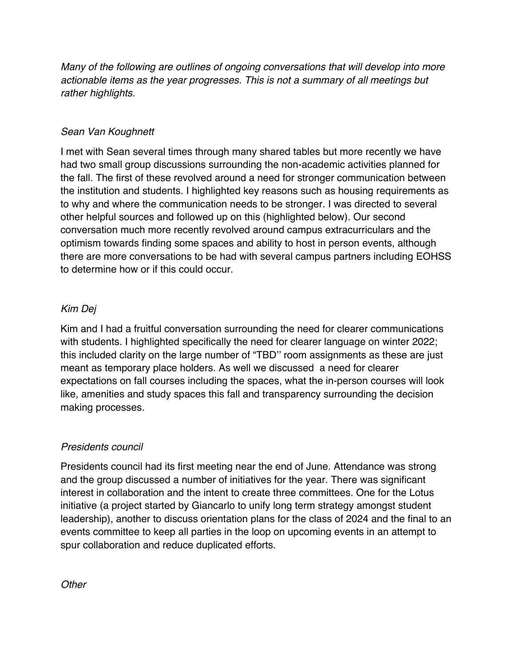*Many of the following are outlines of ongoing conversations that will develop into more actionable items as the year progresses. This is not a summary of all meetings but rather highlights.*

#### *Sean Van Koughnett*

I met with Sean several times through many shared tables but more recently we have had two small group discussions surrounding the non-academic activities planned for the fall. The first of these revolved around a need for stronger communication between the institution and students. I highlighted key reasons such as housing requirements as to why and where the communication needs to be stronger. I was directed to several other helpful sources and followed up on this (highlighted below). Our second conversation much more recently revolved around campus extracurriculars and the optimism towards finding some spaces and ability to host in person events, although there are more conversations to be had with several campus partners including EOHSS to determine how or if this could occur.

#### *Kim Dej*

Kim and I had a fruitful conversation surrounding the need for clearer communications with students. I highlighted specifically the need for clearer language on winter 2022; this included clarity on the large number of "TBD'' room assignments as these are just meant as temporary place holders. As well we discussed a need for clearer expectations on fall courses including the spaces, what the in-person courses will look like, amenities and study spaces this fall and transparency surrounding the decision making processes.

#### *Presidents council*

Presidents council had its first meeting near the end of June. Attendance was strong and the group discussed a number of initiatives for the year. There was significant interest in collaboration and the intent to create three committees. One for the Lotus initiative (a project started by Giancarlo to unify long term strategy amongst student leadership), another to discuss orientation plans for the class of 2024 and the final to an events committee to keep all parties in the loop on upcoming events in an attempt to spur collaboration and reduce duplicated efforts.

*Other*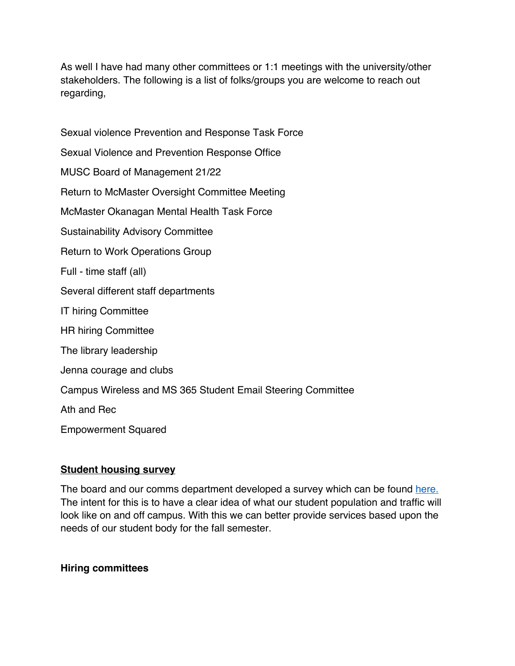As well I have had many other committees or 1:1 meetings with the university/other stakeholders. The following is a list of folks/groups you are welcome to reach out regarding,

Sexual violence Prevention and Response Task Force Sexual Violence and Prevention Response Office MUSC Board of Management 21/22 Return to McMaster Oversight Committee Meeting McMaster Okanagan Mental Health Task Force Sustainability Advisory Committee Return to Work Operations Group Full - time staff (all) Several different staff departments IT hiring Committee HR hiring Committee The library leadership Jenna courage and clubs Campus Wireless and MS 365 Student Email Steering Committee Ath and Rec Empowerment Squared

# **Student housing survey**

The board and our comms department developed a survey which can be found here. The intent for this is to have a clear idea of what our student population and traffic will look like on and off campus. With this we can better provide services based upon the needs of our student body for the fall semester.

# **Hiring committees**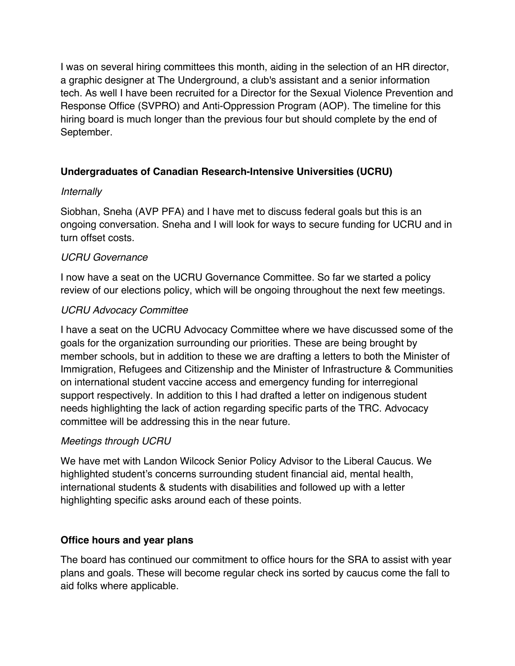I was on several hiring committees this month, aiding in the selection of an HR director, a graphic designer at The Underground, a club's assistant and a senior information tech. As well I have been recruited for a Director for the Sexual Violence Prevention and Response Office (SVPRO) and Anti-Oppression Program (AOP). The timeline for this hiring board is much longer than the previous four but should complete by the end of September.

# **Undergraduates of Canadian Research-Intensive Universities (UCRU)**

# *Internally*

Siobhan, Sneha (AVP PFA) and I have met to discuss federal goals but this is an ongoing conversation. Sneha and I will look for ways to secure funding for UCRU and in turn offset costs.

# *UCRU Governance*

I now have a seat on the UCRU Governance Committee. So far we started a policy review of our elections policy, which will be ongoing throughout the next few meetings.

# *UCRU Advocacy Committee*

I have a seat on the UCRU Advocacy Committee where we have discussed some of the goals for the organization surrounding our priorities. These are being brought by member schools, but in addition to these we are drafting a letters to both the Minister of Immigration, Refugees and Citizenship and the Minister of Infrastructure & Communities on international student vaccine access and emergency funding for interregional support respectively. In addition to this I had drafted a letter on indigenous student needs highlighting the lack of action regarding specific parts of the TRC. Advocacy committee will be addressing this in the near future.

# *Meetings through UCRU*

We have met with Landon Wilcock Senior Policy Advisor to the Liberal Caucus. We highlighted student's concerns surrounding student financial aid, mental health, international students & students with disabilities and followed up with a letter highlighting specific asks around each of these points.

# **Office hours and year plans**

The board has continued our commitment to office hours for the SRA to assist with year plans and goals. These will become regular check ins sorted by caucus come the fall to aid folks where applicable.